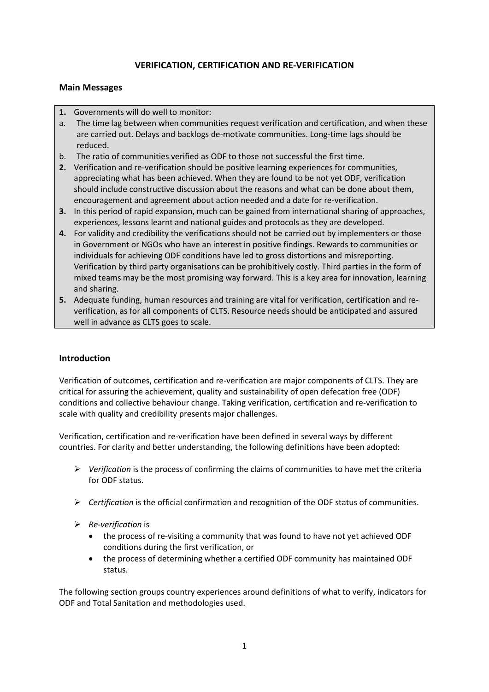# **VERIFICATION, CERTIFICATION AND RE-VERIFICATION**

#### **Main Messages**

- **1.** Governments will do well to monitor:
- a. The time lag between when communities request verification and certification, and when these are carried out. Delays and backlogs de-motivate communities. Long-time lags should be reduced.
- b. The ratio of communities verified as ODF to those not successful the first time.
- **2.** Verification and re-verification should be positive learning experiences for communities, appreciating what has been achieved. When they are found to be not yet ODF, verification should include constructive discussion about the reasons and what can be done about them, encouragement and agreement about action needed and a date for re-verification.
- **3.** In this period of rapid expansion, much can be gained from international sharing of approaches, experiences, lessons learnt and national guides and protocols as they are developed.
- **4.** For validity and credibility the verifications should not be carried out by implementers or those in Government or NGOs who have an interest in positive findings. Rewards to communities or individuals for achieving ODF conditions have led to gross distortions and misreporting. Verification by third party organisations can be prohibitively costly. Third parties in the form of mixed teams may be the most promising way forward. This is a key area for innovation, learning and sharing.
- **5.** Adequate funding, human resources and training are vital for verification, certification and reverification, as for all components of CLTS. Resource needs should be anticipated and assured well in advance as CLTS goes to scale.

# **Introduction**

Verification of outcomes, certification and re-verification are major components of CLTS. They are critical for assuring the achievement, quality and sustainability of open defecation free (ODF) conditions and collective behaviour change. Taking verification, certification and re-verification to scale with quality and credibility presents major challenges.

Verification, certification and re-verification have been defined in several ways by different countries. For clarity and better understanding, the following definitions have been adopted:

- *Verification* is the process of confirming the claims of communities to have met the criteria for ODF status.
- *Certification* is the official confirmation and recognition of the ODF status of communities.
- *Re-verification* is
	- the process of re-visiting a community that was found to have not yet achieved ODF conditions during the first verification, or
	- the process of determining whether a certified ODF community has maintained ODF status.

The following section groups country experiences around definitions of what to verify, indicators for ODF and Total Sanitation and methodologies used.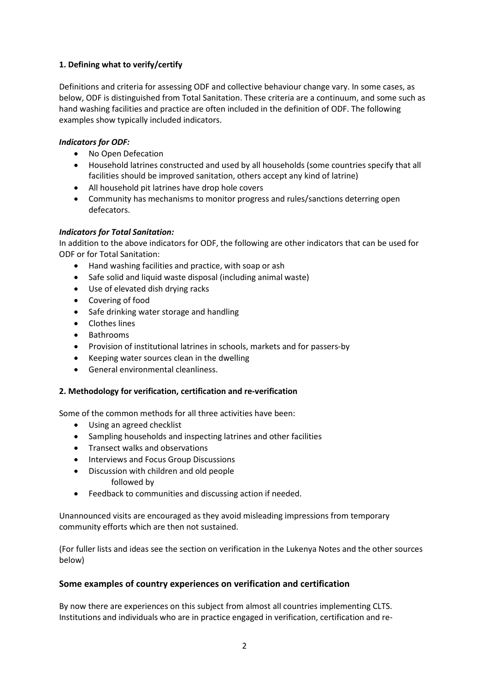# **1. Defining what to verify/certify**

Definitions and criteria for assessing ODF and collective behaviour change vary. In some cases, as below, ODF is distinguished from Total Sanitation. These criteria are a continuum, and some such as hand washing facilities and practice are often included in the definition of ODF. The following examples show typically included indicators.

# *Indicators for ODF:*

- No Open Defecation
- Household latrines constructed and used by all households (some countries specify that all facilities should be improved sanitation, others accept any kind of latrine)
- All household pit latrines have drop hole covers
- Community has mechanisms to monitor progress and rules/sanctions deterring open defecators.

# *Indicators for Total Sanitation:*

In addition to the above indicators for ODF, the following are other indicators that can be used for ODF or for Total Sanitation:

- Hand washing facilities and practice, with soap or ash
- Safe solid and liquid waste disposal (including animal waste)
- Use of elevated dish drying racks
- Covering of food
- Safe drinking water storage and handling
- Clothes lines
- Bathrooms
- Provision of institutional latrines in schools, markets and for passers-by
- Keeping water sources clean in the dwelling
- General environmental cleanliness.

#### **2. Methodology for verification, certification and re-verification**

Some of the common methods for all three activities have been:

- Using an agreed checklist
- Sampling households and inspecting latrines and other facilities
- Transect walks and observations
- Interviews and Focus Group Discussions
- Discussion with children and old people
	- followed by
- Feedback to communities and discussing action if needed.

Unannounced visits are encouraged as they avoid misleading impressions from temporary community efforts which are then not sustained.

(For fuller lists and ideas see the section on verification in the Lukenya Notes and the other sources below)

# **Some examples of country experiences on verification and certification**

By now there are experiences on this subject from almost all countries implementing CLTS. Institutions and individuals who are in practice engaged in verification, certification and re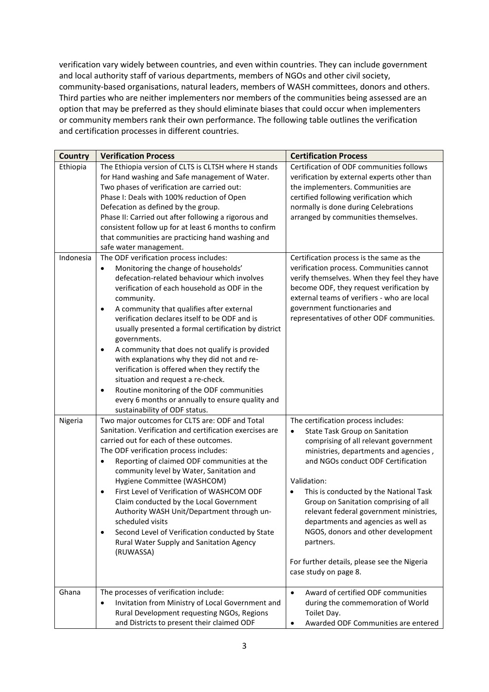verification vary widely between countries, and even within countries. They can include government and local authority staff of various departments, members of NGOs and other civil society, community-based organisations, natural leaders, members of WASH committees, donors and others. Third parties who are neither implementers nor members of the communities being assessed are an option that may be preferred as they should eliminate biases that could occur when implementers or community members rank their own performance. The following table outlines the verification and certification processes in different countries.

| <b>Country</b> | <b>Verification Process</b>                                  | <b>Certification Process</b>                        |
|----------------|--------------------------------------------------------------|-----------------------------------------------------|
| Ethiopia       | The Ethiopia version of CLTS is CLTSH where H stands         | Certification of ODF communities follows            |
|                | for Hand washing and Safe management of Water.               | verification by external experts other than         |
|                | Two phases of verification are carried out:                  | the implementers. Communities are                   |
|                | Phase I: Deals with 100% reduction of Open                   | certified following verification which              |
|                | Defecation as defined by the group.                          | normally is done during Celebrations                |
|                | Phase II: Carried out after following a rigorous and         | arranged by communities themselves.                 |
|                | consistent follow up for at least 6 months to confirm        |                                                     |
|                | that communities are practicing hand washing and             |                                                     |
|                | safe water management.                                       |                                                     |
| Indonesia      | The ODF verification process includes:                       | Certification process is the same as the            |
|                | Monitoring the change of households'<br>$\bullet$            | verification process. Communities cannot            |
|                | defecation-related behaviour which involves                  | verify themselves. When they feel they have         |
|                | verification of each household as ODF in the                 | become ODF, they request verification by            |
|                | community.                                                   | external teams of verifiers - who are local         |
|                | A community that qualifies after external<br>$\bullet$       | government functionaries and                        |
|                | verification declares itself to be ODF and is                | representatives of other ODF communities.           |
|                | usually presented a formal certification by district         |                                                     |
|                | governments.                                                 |                                                     |
|                | A community that does not qualify is provided<br>$\bullet$   |                                                     |
|                | with explanations why they did not and re-                   |                                                     |
|                | verification is offered when they rectify the                |                                                     |
|                | situation and request a re-check.                            |                                                     |
|                | Routine monitoring of the ODF communities<br>٠               |                                                     |
|                | every 6 months or annually to ensure quality and             |                                                     |
|                | sustainability of ODF status.                                |                                                     |
| Nigeria        | Two major outcomes for CLTS are: ODF and Total               | The certification process includes:                 |
|                | Sanitation. Verification and certification exercises are     | State Task Group on Sanitation                      |
|                | carried out for each of these outcomes.                      | comprising of all relevant government               |
|                | The ODF verification process includes:                       | ministries, departments and agencies,               |
|                | Reporting of claimed ODF communities at the<br>$\bullet$     | and NGOs conduct ODF Certification                  |
|                | community level by Water, Sanitation and                     |                                                     |
|                | Hygiene Committee (WASHCOM)                                  | Validation:                                         |
|                | First Level of Verification of WASHCOM ODF<br>$\bullet$      | This is conducted by the National Task<br>$\bullet$ |
|                | Claim conducted by the Local Government                      | Group on Sanitation comprising of all               |
|                | Authority WASH Unit/Department through un-                   | relevant federal government ministries,             |
|                | scheduled visits                                             | departments and agencies as well as                 |
|                | Second Level of Verification conducted by State<br>$\bullet$ | NGOS, donors and other development                  |
|                | Rural Water Supply and Sanitation Agency                     | partners.                                           |
|                | (RUWASSA)                                                    |                                                     |
|                |                                                              | For further details, please see the Nigeria         |
|                |                                                              | case study on page 8.                               |
|                |                                                              |                                                     |
| Ghana          | The processes of verification include:                       | Award of certified ODF communities<br>$\bullet$     |
|                | Invitation from Ministry of Local Government and             | during the commemoration of World                   |
|                | Rural Development requesting NGOs, Regions                   | Toilet Day.                                         |
|                | and Districts to present their claimed ODF                   | Awarded ODF Communities are entered<br>٠            |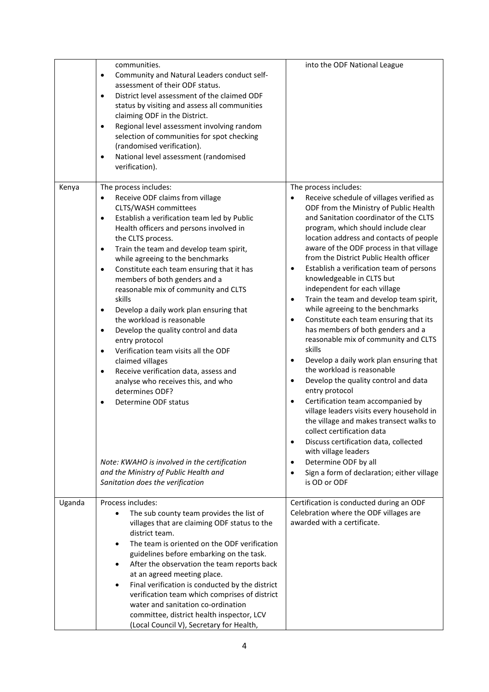|        | communities.<br>Community and Natural Leaders conduct self-<br>$\bullet$<br>assessment of their ODF status.<br>District level assessment of the claimed ODF<br>$\bullet$<br>status by visiting and assess all communities<br>claiming ODF in the District.<br>Regional level assessment involving random<br>$\bullet$<br>selection of communities for spot checking<br>(randomised verification).<br>National level assessment (randomised<br>$\bullet$<br>verification).                                                                                                                                                                                                                                                                                                                                                                                                                                                                                                    | into the ODF National League                                                                                                                                                                                                                                                                                                                                                                                                                                                                                                                                                                                                                                                                                                                                                                                                                                                                                                                                                                                                                                                                                                                                                                 |  |
|--------|------------------------------------------------------------------------------------------------------------------------------------------------------------------------------------------------------------------------------------------------------------------------------------------------------------------------------------------------------------------------------------------------------------------------------------------------------------------------------------------------------------------------------------------------------------------------------------------------------------------------------------------------------------------------------------------------------------------------------------------------------------------------------------------------------------------------------------------------------------------------------------------------------------------------------------------------------------------------------|----------------------------------------------------------------------------------------------------------------------------------------------------------------------------------------------------------------------------------------------------------------------------------------------------------------------------------------------------------------------------------------------------------------------------------------------------------------------------------------------------------------------------------------------------------------------------------------------------------------------------------------------------------------------------------------------------------------------------------------------------------------------------------------------------------------------------------------------------------------------------------------------------------------------------------------------------------------------------------------------------------------------------------------------------------------------------------------------------------------------------------------------------------------------------------------------|--|
| Kenya  | The process includes:<br>Receive ODF claims from village<br>CLTS/WASH committees<br>Establish a verification team led by Public<br>$\bullet$<br>Health officers and persons involved in<br>the CLTS process.<br>Train the team and develop team spirit,<br>$\bullet$<br>while agreeing to the benchmarks<br>Constitute each team ensuring that it has<br>$\bullet$<br>members of both genders and a<br>reasonable mix of community and CLTS<br>skills<br>Develop a daily work plan ensuring that<br>$\bullet$<br>the workload is reasonable<br>Develop the quality control and data<br>$\bullet$<br>entry protocol<br>Verification team visits all the ODF<br>$\bullet$<br>claimed villages<br>Receive verification data, assess and<br>$\bullet$<br>analyse who receives this, and who<br>determines ODF?<br>Determine ODF status<br>$\bullet$<br>Note: KWAHO is involved in the certification<br>and the Ministry of Public Health and<br>Sanitation does the verification | The process includes:<br>Receive schedule of villages verified as<br>ODF from the Ministry of Public Health<br>and Sanitation coordinator of the CLTS<br>program, which should include clear<br>location address and contacts of people<br>aware of the ODF process in that village<br>from the District Public Health officer<br>Establish a verification team of persons<br>$\bullet$<br>knowledgeable in CLTS but<br>independent for each village<br>Train the team and develop team spirit,<br>$\bullet$<br>while agreeing to the benchmarks<br>Constitute each team ensuring that its<br>$\bullet$<br>has members of both genders and a<br>reasonable mix of community and CLTS<br>skills<br>Develop a daily work plan ensuring that<br>$\bullet$<br>the workload is reasonable<br>Develop the quality control and data<br>$\bullet$<br>entry protocol<br>Certification team accompanied by<br>$\bullet$<br>village leaders visits every household in<br>the village and makes transect walks to<br>collect certification data<br>Discuss certification data, collected<br>$\bullet$<br>with village leaders<br>Determine ODF by all<br>٠<br>Sign a form of declaration; either village |  |
| Uganda | Process includes:<br>The sub county team provides the list of<br>villages that are claiming ODF status to the<br>district team.<br>The team is oriented on the ODF verification<br>٠<br>guidelines before embarking on the task.<br>After the observation the team reports back<br>٠<br>at an agreed meeting place.<br>Final verification is conducted by the district<br>٠<br>verification team which comprises of district<br>water and sanitation co-ordination<br>committee, district health inspector, LCV<br>(Local Council V), Secretary for Health,                                                                                                                                                                                                                                                                                                                                                                                                                  | Certification is conducted during an ODF<br>Celebration where the ODF villages are<br>awarded with a certificate.                                                                                                                                                                                                                                                                                                                                                                                                                                                                                                                                                                                                                                                                                                                                                                                                                                                                                                                                                                                                                                                                            |  |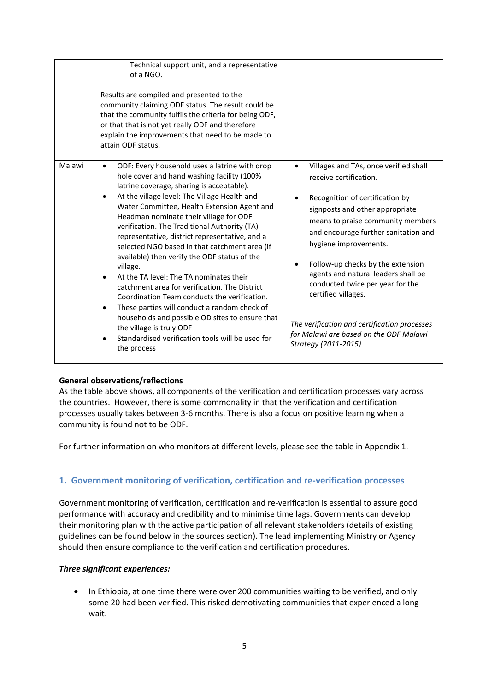|        | Technical support unit, and a representative<br>of a NGO.<br>Results are compiled and presented to the<br>community claiming ODF status. The result could be<br>that the community fulfils the criteria for being ODF,<br>or that that is not yet really ODF and therefore<br>explain the improvements that need to be made to<br>attain ODF status.                                                                                                                                                                                                                                                                                                                                                                                                                                                                                                                     |                                                                                                                                                                                                                                                                                                                                                                                                                                                                                                                   |
|--------|--------------------------------------------------------------------------------------------------------------------------------------------------------------------------------------------------------------------------------------------------------------------------------------------------------------------------------------------------------------------------------------------------------------------------------------------------------------------------------------------------------------------------------------------------------------------------------------------------------------------------------------------------------------------------------------------------------------------------------------------------------------------------------------------------------------------------------------------------------------------------|-------------------------------------------------------------------------------------------------------------------------------------------------------------------------------------------------------------------------------------------------------------------------------------------------------------------------------------------------------------------------------------------------------------------------------------------------------------------------------------------------------------------|
| Malawi | ODF: Every household uses a latrine with drop<br>hole cover and hand washing facility (100%<br>latrine coverage, sharing is acceptable).<br>At the village level: The Village Health and<br>$\bullet$<br>Water Committee, Health Extension Agent and<br>Headman nominate their village for ODF<br>verification. The Traditional Authority (TA)<br>representative, district representative, and a<br>selected NGO based in that catchment area (if<br>available) then verify the ODF status of the<br>village.<br>At the TA level: The TA nominates their<br>catchment area for verification. The District<br>Coordination Team conducts the verification.<br>These parties will conduct a random check of<br>$\bullet$<br>households and possible OD sites to ensure that<br>the village is truly ODF<br>Standardised verification tools will be used for<br>the process | Villages and TAs, once verified shall<br>$\bullet$<br>receive certification.<br>Recognition of certification by<br>signposts and other appropriate<br>means to praise community members<br>and encourage further sanitation and<br>hygiene improvements.<br>Follow-up checks by the extension<br>agents and natural leaders shall be<br>conducted twice per year for the<br>certified villages.<br>The verification and certification processes<br>for Malawi are based on the ODF Malawi<br>Strategy (2011-2015) |

# **General observations/reflections**

As the table above shows, all components of the verification and certification processes vary across the countries. However, there is some commonality in that the verification and certification processes usually takes between 3-6 months. There is also a focus on positive learning when a community is found not to be ODF.

For further information on who monitors at different levels, please see the table in Appendix 1.

# **1. Government monitoring of verification, certification and re-verification processes**

Government monitoring of verification, certification and re-verification is essential to assure good performance with accuracy and credibility and to minimise time lags. Governments can develop their monitoring plan with the active participation of all relevant stakeholders (details of existing guidelines can be found below in the sources section). The lead implementing Ministry or Agency should then ensure compliance to the verification and certification procedures.

#### *Three significant experiences:*

• In Ethiopia, at one time there were over 200 communities waiting to be verified, and only some 20 had been verified. This risked demotivating communities that experienced a long wait.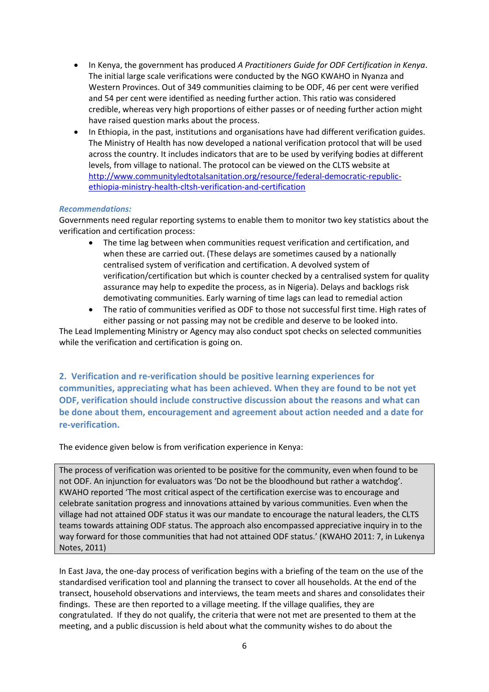- In Kenya, the government has produced *A Practitioners Guide for ODF Certification in Kenya*. The initial large scale verifications were conducted by the NGO KWAHO in Nyanza and Western Provinces. Out of 349 communities claiming to be ODF, 46 per cent were verified and 54 per cent were identified as needing further action. This ratio was considered credible, whereas very high proportions of either passes or of needing further action might have raised question marks about the process.
- In Ethiopia, in the past, institutions and organisations have had different verification guides. The Ministry of Health has now developed a national verification protocol that will be used across the country. It includes indicators that are to be used by verifying bodies at different levels, from village to national. The protocol can be viewed on the CLTS website at [http://www.communityledtotalsanitation.org/resource/federal-democratic-republic](http://www.communityledtotalsanitation.org/resource/federal-democratic-republic-ethiopia-ministry-health-cltsh-verification-and-certification)[ethiopia-ministry-health-cltsh-verification-and-certification](http://www.communityledtotalsanitation.org/resource/federal-democratic-republic-ethiopia-ministry-health-cltsh-verification-and-certification)

## *Recommendations:*

Governments need regular reporting systems to enable them to monitor two key statistics about the verification and certification process:

- The time lag between when communities request verification and certification, and when these are carried out. (These delays are sometimes caused by a nationally centralised system of verification and certification. A devolved system of verification/certification but which is counter checked by a centralised system for quality assurance may help to expedite the process, as in Nigeria). Delays and backlogs risk demotivating communities. Early warning of time lags can lead to remedial action
- The ratio of communities verified as ODF to those not successful first time. High rates of either passing or not passing may not be credible and deserve to be looked into.

The Lead Implementing Ministry or Agency may also conduct spot checks on selected communities while the verification and certification is going on.

**2. Verification and re-verification should be positive learning experiences for communities, appreciating what has been achieved. When they are found to be not yet ODF, verification should include constructive discussion about the reasons and what can be done about them, encouragement and agreement about action needed and a date for re-verification.**

The evidence given below is from verification experience in Kenya:

The process of verification was oriented to be positive for the community, even when found to be not ODF. An injunction for evaluators was 'Do not be the bloodhound but rather a watchdog'. KWAHO reported 'The most critical aspect of the certification exercise was to encourage and celebrate sanitation progress and innovations attained by various communities. Even when the village had not attained ODF status it was our mandate to encourage the natural leaders, the CLTS teams towards attaining ODF status. The approach also encompassed appreciative inquiry in to the way forward for those communities that had not attained ODF status.' (KWAHO 2011: 7, in Lukenya Notes, 2011)

In East Java, the one-day process of verification begins with a briefing of the team on the use of the standardised verification tool and planning the transect to cover all households. At the end of the transect, household observations and interviews, the team meets and shares and consolidates their findings. These are then reported to a village meeting. If the village qualifies, they are congratulated. If they do not qualify, the criteria that were not met are presented to them at the meeting, and a public discussion is held about what the community wishes to do about the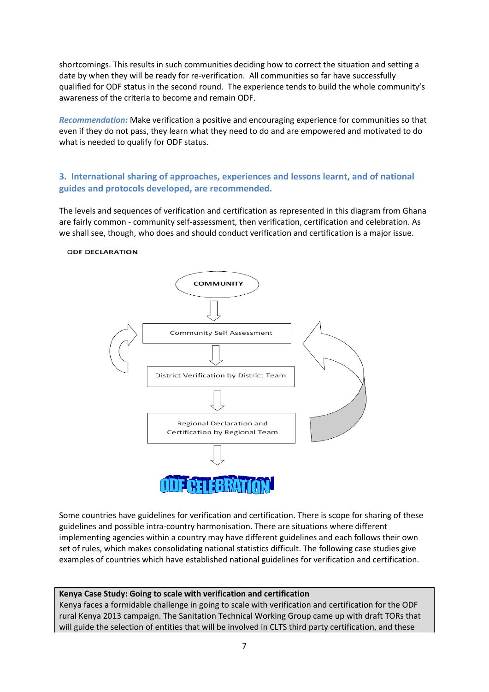shortcomings. This results in such communities deciding how to correct the situation and setting a date by when they will be ready for re-verification. All communities so far have successfully qualified for ODF status in the second round. The experience tends to build the whole community's awareness of the criteria to become and remain ODF.

*Recommendation:* Make verification a positive and encouraging experience for communities so that even if they do not pass, they learn what they need to do and are empowered and motivated to do what is needed to qualify for ODF status.

# **3. International sharing of approaches, experiences and lessons learnt, and of national guides and protocols developed, are recommended.**

The levels and sequences of verification and certification as represented in this diagram from Ghana are fairly common - community self-assessment, then verification, certification and celebration. As we shall see, though, who does and should conduct verification and certification is a major issue.

#### **ODF DECLARATION**



Some countries have guidelines for verification and certification. There is scope for sharing of these guidelines and possible intra-country harmonisation. There are situations where different implementing agencies within a country may have different guidelines and each follows their own set of rules, which makes consolidating national statistics difficult. The following case studies give examples of countries which have established national guidelines for verification and certification.

#### **Kenya Case Study: Going to scale with verification and certification**

Kenya faces a formidable challenge in going to scale with verification and certification for the ODF rural Kenya 2013 campaign. The Sanitation Technical Working Group came up with draft TORs that will guide the selection of entities that will be involved in CLTS third party certification, and these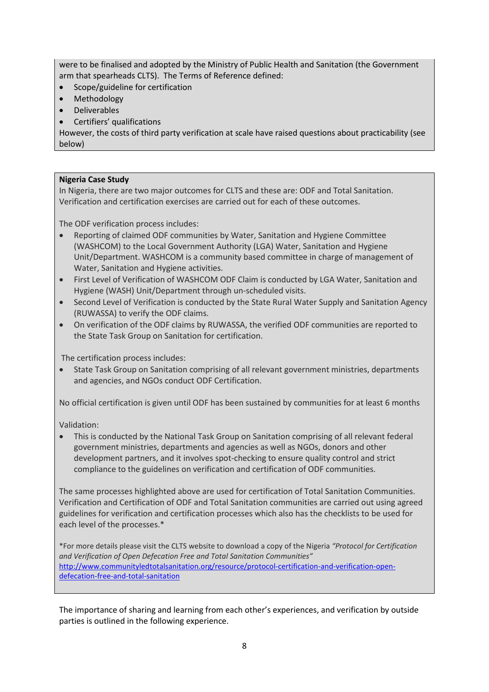were to be finalised and adopted by the Ministry of Public Health and Sanitation (the Government arm that spearheads CLTS). The Terms of Reference defined:

- Scope/guideline for certification
- Methodology
- Deliverables
- Certifiers' qualifications

However, the costs of third party verification at scale have raised questions about practicability (see below)

## **Nigeria Case Study**

In Nigeria, there are two major outcomes for CLTS and these are: ODF and Total Sanitation. Verification and certification exercises are carried out for each of these outcomes.

The ODF verification process includes:

- Reporting of claimed ODF communities by Water, Sanitation and Hygiene Committee (WASHCOM) to the Local Government Authority (LGA) Water, Sanitation and Hygiene Unit/Department. WASHCOM is a community based committee in charge of management of Water, Sanitation and Hygiene activities.
- First Level of Verification of WASHCOM ODF Claim is conducted by LGA Water, Sanitation and Hygiene (WASH) Unit/Department through un-scheduled visits.
- Second Level of Verification is conducted by the State Rural Water Supply and Sanitation Agency (RUWASSA) to verify the ODF claims.
- On verification of the ODF claims by RUWASSA, the verified ODF communities are reported to the State Task Group on Sanitation for certification.

The certification process includes:

• State Task Group on Sanitation comprising of all relevant government ministries, departments and agencies, and NGOs conduct ODF Certification.

No official certification is given until ODF has been sustained by communities for at least 6 months

Validation:

• This is conducted by the National Task Group on Sanitation comprising of all relevant federal government ministries, departments and agencies as well as NGOs, donors and other development partners, and it involves spot-checking to ensure quality control and strict compliance to the guidelines on verification and certification of ODF communities.

The same processes highlighted above are used for certification of Total Sanitation Communities. Verification and Certification of ODF and Total Sanitation communities are carried out using agreed guidelines for verification and certification processes which also has the checklists to be used for each level of the processes.\*

\*For more details please visit the CLTS website to download a copy of the Nigeria *"Protocol for Certification and Verification of Open Defecation Free and Total Sanitation Communities"* [http://www.communityledtotalsanitation.org/resource/protocol-certification-and-verification-open](http://www.communityledtotalsanitation.org/resource/protocol-certification-and-verification-open-defecation-free-and-total-sanitation)[defecation-free-and-total-sanitation](http://www.communityledtotalsanitation.org/resource/protocol-certification-and-verification-open-defecation-free-and-total-sanitation)

The importance of sharing and learning from each other's experiences, and verification by outside parties is outlined in the following experience.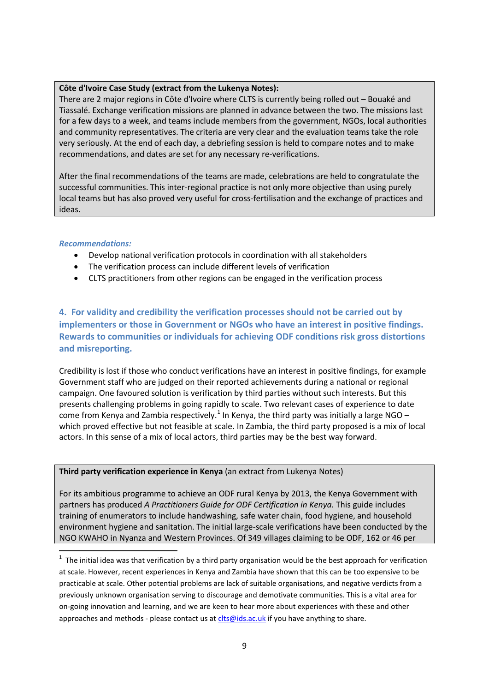#### **Côte d'Ivoire Case Study (extract from the Lukenya Notes):**

There are 2 major regions in Côte d'Ivoire where CLTS is currently being rolled out – Bouaké and Tiassalé. Exchange verification missions are planned in advance between the two. The missions last for a few days to a week, and teams include members from the government, NGOs, local authorities and community representatives. The criteria are very clear and the evaluation teams take the role very seriously. At the end of each day, a debriefing session is held to compare notes and to make recommendations, and dates are set for any necessary re-verifications.

After the final recommendations of the teams are made, celebrations are held to congratulate the successful communities. This inter-regional practice is not only more objective than using purely local teams but has also proved very useful for cross-fertilisation and the exchange of practices and ideas.

## *Recommendations:*

- Develop national verification protocols in coordination with all stakeholders
- The verification process can include different levels of verification
- CLTS practitioners from other regions can be engaged in the verification process

**4. For validity and credibility the verification processes should not be carried out by implementers or those in Government or NGOs who have an interest in positive findings. Rewards to communities or individuals for achieving ODF conditions risk gross distortions and misreporting.**

Credibility is lost if those who conduct verifications have an interest in positive findings, for example Government staff who are judged on their reported achievements during a national or regional campaign. One favoured solution is verification by third parties without such interests. But this presents challenging problems in going rapidly to scale. Two relevant cases of experience to date come from Kenya and Zambia respectively.<sup>[1](#page-8-0)</sup> In Kenya, the third party was initially a large NGO – which proved effective but not feasible at scale. In Zambia, the third party proposed is a mix of local actors. In this sense of a mix of local actors, third parties may be the best way forward.

#### **Third party verification experience in Kenya** (an extract from Lukenya Notes)

For its ambitious programme to achieve an ODF rural Kenya by 2013, the Kenya Government with partners has produced *A Practitioners Guide for ODF Certification in Kenya.* This guide includes training of enumerators to include handwashing, safe water chain, food hygiene, and household environment hygiene and sanitation. The initial large-scale verifications have been conducted by the NGO KWAHO in Nyanza and Western Provinces. Of 349 villages claiming to be ODF, 162 or 46 per

<span id="page-8-0"></span> $1$  The initial idea was that verification by a third party organisation would be the best approach for verification at scale. However, recent experiences in Kenya and Zambia have shown that this can be too expensive to be practicable at scale. Other potential problems are lack of suitable organisations, and negative verdicts from a previously unknown organisation serving to discourage and demotivate communities. This is a vital area for on-going innovation and learning, and we are keen to hear more about experiences with these and other approaches and methods - please contact us at  $clts@ids.ac.uk$  if you have anything to share.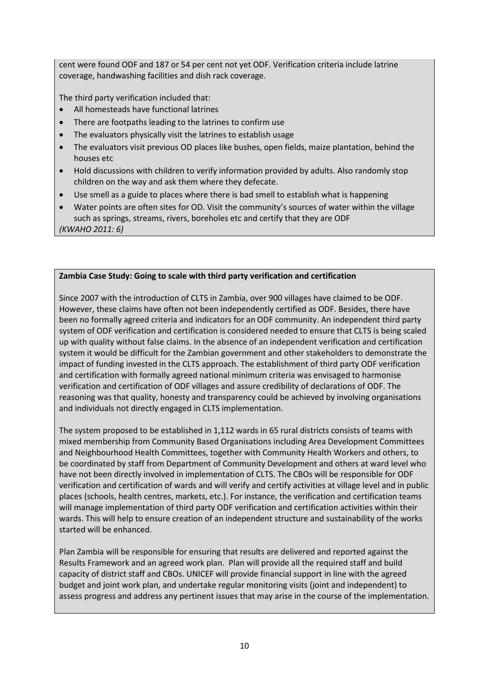cent were found ODF and 187 or 54 per cent not yet ODF. Verification criteria include latrine coverage, handwashing facilities and dish rack coverage.

The third party verification included that:

- All homesteads have functional latrines
- There are footpaths leading to the latrines to confirm use
- The evaluators physically visit the latrines to establish usage
- The evaluators visit previous OD places like bushes, open fields, maize plantation, behind the houses etc
- Hold discussions with children to verify information provided by adults. Also randomly stop children on the way and ask them where they defecate.
- Use smell as a guide to places where there is bad smell to establish what is happening
- Water points are often sites for OD. Visit the community's sources of water within the village such as springs, streams, rivers, boreholes etc and certify that they are ODF *(KWAHO 2011: 6)*

# **Zambia Case Study: Going to scale with third party verification and certification**

Since 2007 with the introduction of CLTS in Zambia, over 900 villages have claimed to be ODF. However, these claims have often not been independently certified as ODF. Besides, there have been no formally agreed criteria and indicators for an ODF community. An independent third party system of ODF verification and certification is considered needed to ensure that CLTS is being scaled up with quality without false claims. In the absence of an independent verification and certification system it would be difficult for the Zambian government and other stakeholders to demonstrate the impact of funding invested in the CLTS approach. The establishment of third party ODF verification and certification with formally agreed national minimum criteria was envisaged to harmonise verification and certification of ODF villages and assure credibility of declarations of ODF. The reasoning was that quality, honesty and transparency could be achieved by involving organisations and individuals not directly engaged in CLTS implementation.

The system proposed to be established in 1,112 wards in 65 rural districts consists of teams with mixed membership from Community Based Organisations including Area Development Committees and Neighbourhood Health Committees, together with Community Health Workers and others, to be coordinated by staff from Department of Community Development and others at ward level who have not been directly involved in implementation of CLTS. The CBOs will be responsible for ODF verification and certification of wards and will verify and certify activities at village level and in public places (schools, health centres, markets, etc.). For instance, the verification and certification teams will manage implementation of third party ODF verification and certification activities within their wards. This will help to ensure creation of an independent structure and sustainability of the works started will be enhanced.

Plan Zambia will be responsible for ensuring that results are delivered and reported against the Results Framework and an agreed work plan. Plan will provide all the required staff and build capacity of district staff and CBOs. UNICEF will provide financial support in line with the agreed budget and joint work plan, and undertake regular monitoring visits (joint and independent) to assess progress and address any pertinent issues that may arise in the course of the implementation.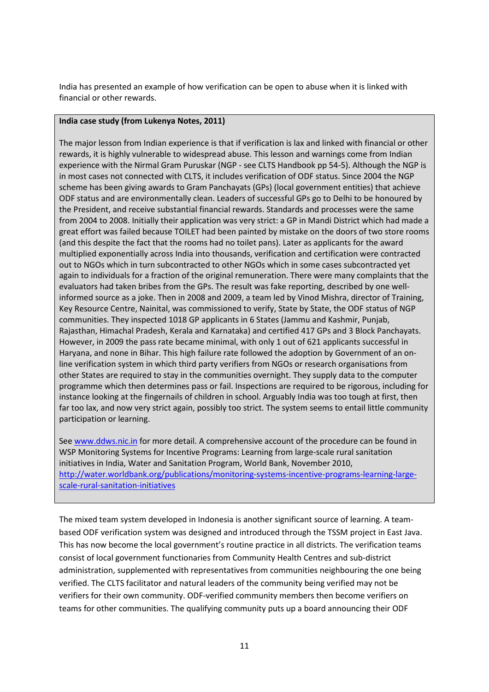India has presented an example of how verification can be open to abuse when it is linked with financial or other rewards.

#### **India case study (from Lukenya Notes, 2011)**

The major lesson from Indian experience is that if verification is lax and linked with financial or other rewards, it is highly vulnerable to widespread abuse. This lesson and warnings come from Indian experience with the Nirmal Gram Puruskar (NGP - see CLTS Handbook pp 54-5). Although the NGP is in most cases not connected with CLTS, it includes verification of ODF status. Since 2004 the NGP scheme has been giving awards to Gram Panchayats (GPs) (local government entities) that achieve ODF status and are environmentally clean. Leaders of successful GPs go to Delhi to be honoured by the President, and receive substantial financial rewards. Standards and processes were the same from 2004 to 2008. Initially their application was very strict: a GP in Mandi District which had made a great effort was failed because TOILET had been painted by mistake on the doors of two store rooms (and this despite the fact that the rooms had no toilet pans). Later as applicants for the award multiplied exponentially across India into thousands, verification and certification were contracted out to NGOs which in turn subcontracted to other NGOs which in some cases subcontracted yet again to individuals for a fraction of the original remuneration. There were many complaints that the evaluators had taken bribes from the GPs. The result was fake reporting, described by one wellinformed source as a joke. Then in 2008 and 2009, a team led by Vinod Mishra, director of Training, Key Resource Centre, Nainital, was commissioned to verify, State by State, the ODF status of NGP communities. They inspected 1018 GP applicants in 6 States (Jammu and Kashmir, Punjab, Rajasthan, Himachal Pradesh, Kerala and Karnataka) and certified 417 GPs and 3 Block Panchayats. However, in 2009 the pass rate became minimal, with only 1 out of 621 applicants successful in Haryana, and none in Bihar. This high failure rate followed the adoption by Government of an online verification system in which third party verifiers from NGOs or research organisations from other States are required to stay in the communities overnight. They supply data to the computer programme which then determines pass or fail. Inspections are required to be rigorous, including for instance looking at the fingernails of children in school. Arguably India was too tough at first, then far too lax, and now very strict again, possibly too strict. The system seems to entail little community participation or learning.

Se[e www.ddws.nic.in](http://www.ddws.nic.in/) for more detail. A comprehensive account of the procedure can be found in WSP Monitoring Systems for Incentive Programs: Learning from large-scale rural sanitation initiatives in India, Water and Sanitation Program, World Bank, November 2010, [http://water.worldbank.org/publications/monitoring-systems-incentive-programs-learning-large](http://water.worldbank.org/publications/monitoring-systems-incentive-programs-learning-large-scale-rural-sanitation-initiatives)[scale-rural-sanitation-initiatives](http://water.worldbank.org/publications/monitoring-systems-incentive-programs-learning-large-scale-rural-sanitation-initiatives)

The mixed team system developed in Indonesia is another significant source of learning. A teambased ODF verification system was designed and introduced through the TSSM project in East Java. This has now become the local government's routine practice in all districts. The verification teams consist of local government functionaries from Community Health Centres and sub-district administration, supplemented with representatives from communities neighbouring the one being verified. The CLTS facilitator and natural leaders of the community being verified may not be verifiers for their own community. ODF-verified community members then become verifiers on teams for other communities. The qualifying community puts up a board announcing their ODF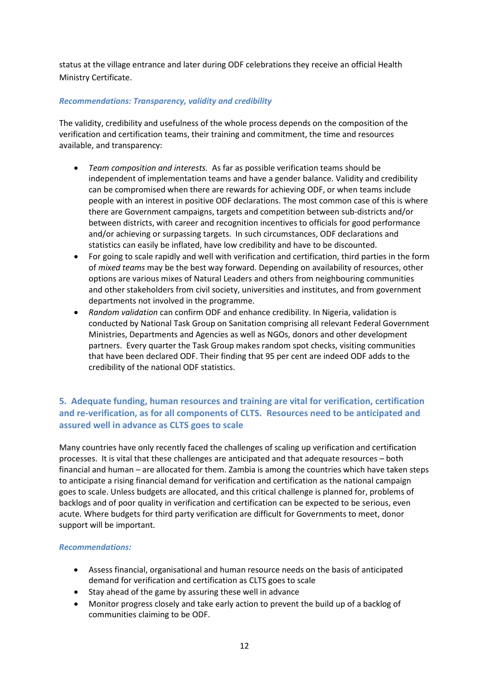status at the village entrance and later during ODF celebrations they receive an official Health Ministry Certificate.

# *Recommendations: Transparency, validity and credibility*

The validity, credibility and usefulness of the whole process depends on the composition of the verification and certification teams, their training and commitment, the time and resources available, and transparency:

- *Team composition and interests.* As far as possible verification teams should be independent of implementation teams and have a gender balance. Validity and credibility can be compromised when there are rewards for achieving ODF, or when teams include people with an interest in positive ODF declarations. The most common case of this is where there are Government campaigns, targets and competition between sub-districts and/or between districts, with career and recognition incentives to officials for good performance and/or achieving or surpassing targets. In such circumstances, ODF declarations and statistics can easily be inflated, have low credibility and have to be discounted.
- For going to scale rapidly and well with verification and certification, third parties in the form of *mixed teams* may be the best way forward. Depending on availability of resources, other options are various mixes of Natural Leaders and others from neighbouring communities and other stakeholders from civil society, universities and institutes, and from government departments not involved in the programme.
- *Random validation* can confirm ODF and enhance credibility. In Nigeria, validation is conducted by National Task Group on Sanitation comprising all relevant Federal Government Ministries, Departments and Agencies as well as NGOs, donors and other development partners. Every quarter the Task Group makes random spot checks, visiting communities that have been declared ODF. Their finding that 95 per cent are indeed ODF adds to the credibility of the national ODF statistics.

# **5. Adequate funding, human resources and training are vital for verification, certification and re-verification, as for all components of CLTS. Resources need to be anticipated and assured well in advance as CLTS goes to scale**

Many countries have only recently faced the challenges of scaling up verification and certification processes. It is vital that these challenges are anticipated and that adequate resources – both financial and human – are allocated for them. Zambia is among the countries which have taken steps to anticipate a rising financial demand for verification and certification as the national campaign goes to scale. Unless budgets are allocated, and this critical challenge is planned for, problems of backlogs and of poor quality in verification and certification can be expected to be serious, even acute. Where budgets for third party verification are difficult for Governments to meet, donor support will be important.

#### *Recommendations:*

- Assess financial, organisational and human resource needs on the basis of anticipated demand for verification and certification as CLTS goes to scale
- Stay ahead of the game by assuring these well in advance
- Monitor progress closely and take early action to prevent the build up of a backlog of communities claiming to be ODF.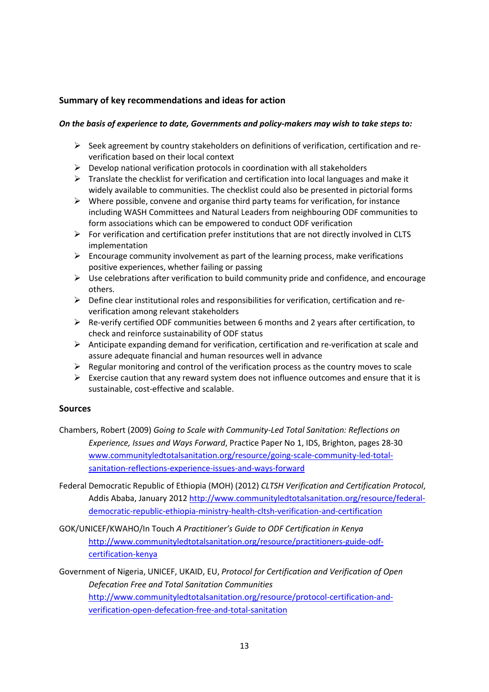# **Summary of key recommendations and ideas for action**

#### *On the basis of experience to date, Governments and policy-makers may wish to take steps to:*

- $\triangleright$  Seek agreement by country stakeholders on definitions of verification, certification and reverification based on their local context
- $\triangleright$  Develop national verification protocols in coordination with all stakeholders
- $\triangleright$  Translate the checklist for verification and certification into local languages and make it widely available to communities. The checklist could also be presented in pictorial forms
- $\triangleright$  Where possible, convene and organise third party teams for verification, for instance including WASH Committees and Natural Leaders from neighbouring ODF communities to form associations which can be empowered to conduct ODF verification
- $\triangleright$  For verification and certification prefer institutions that are not directly involved in CLTS implementation
- $\triangleright$  Encourage community involvement as part of the learning process, make verifications positive experiences, whether failing or passing
- $\triangleright$  Use celebrations after verification to build community pride and confidence, and encourage others.
- $\triangleright$  Define clear institutional roles and responsibilities for verification, certification and reverification among relevant stakeholders
- $\triangleright$  Re-verify certified ODF communities between 6 months and 2 years after certification, to check and reinforce sustainability of ODF status
- $\triangleright$  Anticipate expanding demand for verification, certification and re-verification at scale and assure adequate financial and human resources well in advance
- $\triangleright$  Regular monitoring and control of the verification process as the country moves to scale
- $\triangleright$  Exercise caution that any reward system does not influence outcomes and ensure that it is sustainable, cost-effective and scalable.

#### **Sources**

- Chambers, Robert (2009) *Going to Scale with Community-Led Total Sanitation: Reflections on Experience, Issues and Ways Forward*, Practice Paper No 1, IDS, Brighton, pages 28-30 [www.communityledtotalsanitation.org/resource/going-scale-community-led-total](http://www.communityledtotalsanitation.org/resource/going-scale-community-led-total-sanitation-reflections-experience-issues-and-ways-forward)[sanitation-reflections-experience-issues-and-ways-forward](http://www.communityledtotalsanitation.org/resource/going-scale-community-led-total-sanitation-reflections-experience-issues-and-ways-forward)
- Federal Democratic Republic of Ethiopia (MOH) (2012) *CLTSH Verification and Certification Protocol*, Addis Ababa, January 201[2 http://www.communityledtotalsanitation.org/resource/federal](http://www.communityledtotalsanitation.org/resource/federal-democratic-republic-ethiopia-ministry-health-cltsh-verification-and-certification)[democratic-republic-ethiopia-ministry-health-cltsh-verification-and-certification](http://www.communityledtotalsanitation.org/resource/federal-democratic-republic-ethiopia-ministry-health-cltsh-verification-and-certification)
- GOK/UNICEF/KWAHO/In Touch *A Practitioner's Guide to ODF Certification in Kenya* [http://www.communityledtotalsanitation.org/resource/practitioners-guide-odf](http://www.communityledtotalsanitation.org/resource/practitioners-guide-odf-certification-kenya)[certification-kenya](http://www.communityledtotalsanitation.org/resource/practitioners-guide-odf-certification-kenya)
- Government of Nigeria, UNICEF, UKAID, EU, *Protocol for Certification and Verification of Open Defecation Free and Total Sanitation Communities* [http://www.communityledtotalsanitation.org/resource/protocol-certification-and](http://www.communityledtotalsanitation.org/resource/protocol-certification-and-verification-open-defecation-free-and-total-sanitation)[verification-open-defecation-free-and-total-sanitation](http://www.communityledtotalsanitation.org/resource/protocol-certification-and-verification-open-defecation-free-and-total-sanitation)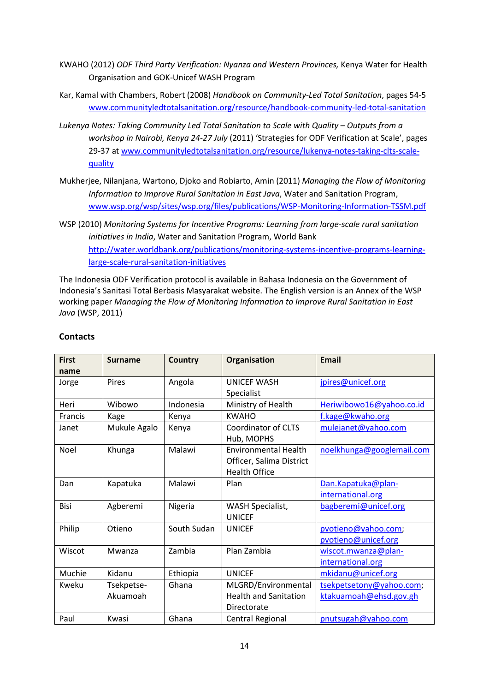- KWAHO (2012) *ODF Third Party Verification: Nyanza and Western Provinces,* Kenya Water for Health Organisation and GOK-Unicef WASH Program
- Kar, Kamal with Chambers, Robert (2008) *Handbook on Community-Led Total Sanitation*, pages 54-5 [www.communityledtotalsanitation.org/resource/handbook-community-led-total-sanitation](http://www.communityledtotalsanitation.org/resource/handbook-community-led-total-sanitation)
- *Lukenya Notes: Taking Community Led Total Sanitation to Scale with Quality – Outputs from a workshop in Nairobi, Kenya 24-27 July* (2011) 'Strategies for ODF Verification at Scale', pages 29-37 a[t www.communityledtotalsanitation.org/resource/lukenya-notes-taking-clts-scale](http://www.communityledtotalsanitation.org/resource/lukenya-notes-taking-clts-scale-quality)[quality](http://www.communityledtotalsanitation.org/resource/lukenya-notes-taking-clts-scale-quality)
- Mukherjee, Nilanjana, Wartono, Djoko and Robiarto, Amin (2011) *Managing the Flow of Monitoring Information to Improve Rural Sanitation in East Java*, Water and Sanitation Program, [www.wsp.org/wsp/sites/wsp.org/files/publications/WSP-Monitoring-Information-TSSM.pdf](http://www.wsp.org/wsp/sites/wsp.org/files/publications/WSP-Monitoring-Information-TSSM.pdf)
- WSP (2010) *Monitoring Systems for Incentive Programs: Learning from large-scale rural sanitation initiatives in India*, Water and Sanitation Program, World Bank [http://water.worldbank.org/publications/monitoring-systems-incentive-programs-learning](http://water.worldbank.org/publications/monitoring-systems-incentive-programs-learning-large-scale-rural-sanitation-initiatives)[large-scale-rural-sanitation-initiatives](http://water.worldbank.org/publications/monitoring-systems-incentive-programs-learning-large-scale-rural-sanitation-initiatives)

The Indonesia ODF Verification protocol is available in Bahasa Indonesia on the Government of Indonesia's Sanitasi Total Berbasis Masyarakat website. The English version is an Annex of the WSP working paper *Managing the Flow of Monitoring Information to Improve Rural Sanitation in East Java* (WSP, 2011)

| <b>First</b> | <b>Surname</b> | <b>Country</b> | <b>Organisation</b>          | <b>Email</b>              |
|--------------|----------------|----------------|------------------------------|---------------------------|
| name         |                |                |                              |                           |
| Jorge        | Pires          | Angola         | <b>UNICEF WASH</b>           | jpires@unicef.org         |
|              |                |                | Specialist                   |                           |
| Heri         | Wibowo         | Indonesia      | Ministry of Health           | Heriwibowo16@yahoo.co.id  |
| Francis      | Kage           | Kenya          | <b>KWAHO</b>                 | f.kage@kwaho.org          |
| Janet        | Mukule Agalo   | Kenya          | <b>Coordinator of CLTS</b>   | mulejanet@yahoo.com       |
|              |                |                | Hub, MOPHS                   |                           |
| Noel         | Khunga         | Malawi         | <b>Environmental Health</b>  | noelkhunga@googlemail.com |
|              |                |                | Officer, Salima District     |                           |
|              |                |                | <b>Health Office</b>         |                           |
| Dan          | Kapatuka       | Malawi         | Plan                         | Dan.Kapatuka@plan-        |
|              |                |                |                              | international.org         |
| <b>Bisi</b>  | Agberemi       | Nigeria        | <b>WASH Specialist,</b>      | bagberemi@unicef.org      |
|              |                |                | <b>UNICEF</b>                |                           |
| Philip       | Otieno         | South Sudan    | <b>UNICEF</b>                | pvotieno@yahoo.com;       |
|              |                |                |                              | pvotieno@unicef.org       |
| Wiscot       | Mwanza         | Zambia         | Plan Zambia                  | wiscot.mwanza@plan-       |
|              |                |                |                              | international.org         |
| Muchie       | Kidanu         | Ethiopia       | <b>UNICEF</b>                | mkidanu@unicef.org        |
| Kweku        | Tsekpetse-     | Ghana          | MLGRD/Environmental          | tsekpetsetony@yahoo.com;  |
|              | Akuamoah       |                | <b>Health and Sanitation</b> | ktakuamoah@ehsd.gov.gh    |
|              |                |                | Directorate                  |                           |
| Paul         | Kwasi          | Ghana          | Central Regional             | pnutsugah@yahoo.com       |

# **Contacts**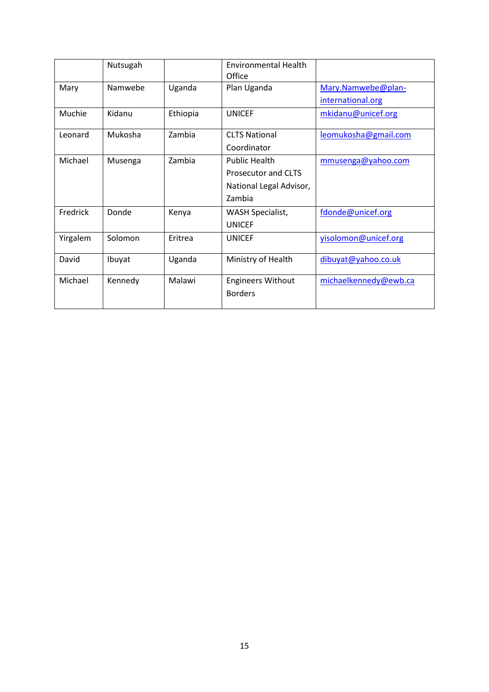|          | Nutsugah |          | <b>Environmental Health</b><br>Office                                            |                                         |
|----------|----------|----------|----------------------------------------------------------------------------------|-----------------------------------------|
| Mary     | Namwebe  | Uganda   | Plan Uganda                                                                      | Mary.Namwebe@plan-<br>international.org |
| Muchie   | Kidanu   | Ethiopia | <b>UNICEF</b>                                                                    | mkidanu@unicef.org                      |
| Leonard  | Mukosha  | Zambia   | <b>CLTS National</b><br>Coordinator                                              | leomukosha@gmail.com                    |
| Michael  | Musenga  | Zambia   | <b>Public Health</b><br>Prosecutor and CLTS<br>National Legal Advisor,<br>Zambia | mmusenga@yahoo.com                      |
| Fredrick | Donde    | Kenya    | <b>WASH Specialist,</b><br><b>UNICEF</b>                                         | fdonde@unicef.org                       |
| Yirgalem | Solomon  | Eritrea  | <b>UNICEF</b>                                                                    | yisolomon@unicef.org                    |
| David    | Ibuyat   | Uganda   | Ministry of Health                                                               | dibuyat@yahoo.co.uk                     |
| Michael  | Kennedy  | Malawi   | <b>Engineers Without</b><br><b>Borders</b>                                       | michaelkennedy@ewb.ca                   |